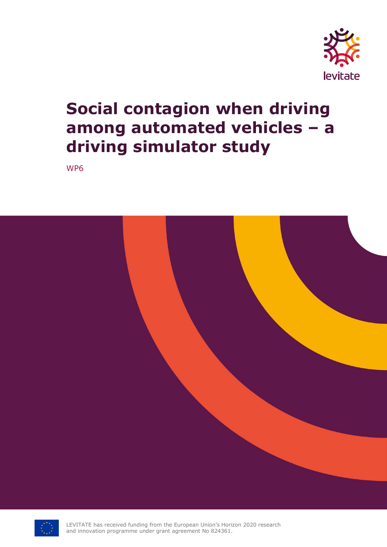

# **Social contagion when driving among automated vehicles – a driving simulator study**

WP6





LEVITATE has received funding from the European Union's Horizon 2020 research and innovation programme under grant agreement No 824361.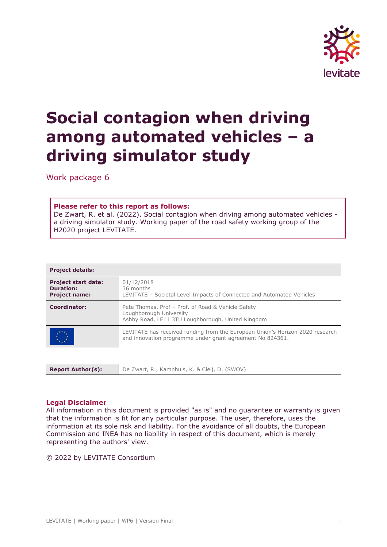

# **Social contagion when driving among automated vehicles – a driving simulator study**

Work package 6

#### **Please refer to this report as follows:**

De Zwart, R. et al. (2022). Social contagion when driving among automated vehicles a driving simulator study. Working paper of the road safety working group of the H2020 project LEVITATE.

| <b>Project details:</b>                                                |                                                                                                                                            |
|------------------------------------------------------------------------|--------------------------------------------------------------------------------------------------------------------------------------------|
| <b>Project start date:</b><br><b>Duration:</b><br><b>Project name:</b> | 01/12/2018<br>36 months<br>LEVITATE - Societal Level Impacts of Connected and Automated Vehicles                                           |
| <b>Coordinator:</b>                                                    | Pete Thomas, Prof - Prof. of Road & Vehicle Safety<br>Loughborough University<br>Ashby Road, LE11 3TU Loughborough, United Kingdom         |
|                                                                        | LEVITATE has received funding from the European Union's Horizon 2020 research<br>and innovation programme under grant agreement No 824361. |

|--|--|

#### **Legal Disclaimer**

All information in this document is provided "as is" and no guarantee or warranty is given that the information is fit for any particular purpose. The user, therefore, uses the information at its sole risk and liability. For the avoidance of all doubts, the European Commission and INEA has no liability in respect of this document, which is merely representing the authors' view.

#### © 2022 by LEVITATE Consortium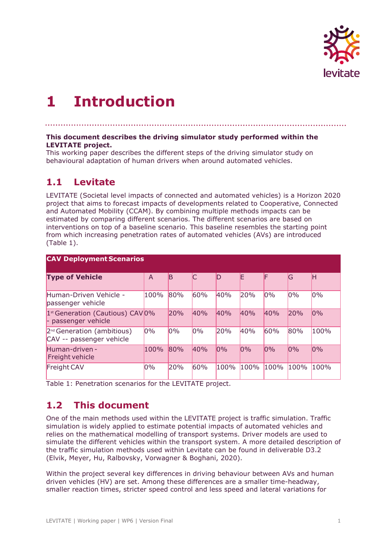

## **1 Introduction**

**This document describes the driving simulator study performed within the LEVITATE project.**

This working paper describes the different steps of the driving simulator study on behavioural adaptation of human drivers when around automated vehicles.

## **1.1 Levitate**

LEVITATE (Societal level impacts of connected and automated vehicles) is a Horizon 2020 project that aims to forecast impacts of developments related to Cooperative, Connected and Automated Mobility (CCAM). By combining multiple methods impacts can be estimated by comparing different scenarios. The different scenarios are based on interventions on top of a baseline scenario. This baseline resembles the starting point from which increasing penetration rates of automated vehicles (AVs) are introduced (Table 1).

| <b>CAV Deployment Scenarios</b>                                     |      |     |     |      |      |      |      |      |  |  |  |  |
|---------------------------------------------------------------------|------|-----|-----|------|------|------|------|------|--|--|--|--|
| <b>Type of Vehicle</b>                                              | A    | B   |     | D    | E    | F    | lG   | lН   |  |  |  |  |
| Human-Driven Vehicle -<br>passenger vehicle                         | 100% | 80% | 60% | 40%  | 20%  | 0%   | 0%   | 0%   |  |  |  |  |
| 1 <sup>st</sup> Generation (Cautious) CAV 0%<br>- passenger vehicle |      | 20% | 40% | 40%  | 40%  | 40%  | 20%  | 0%   |  |  |  |  |
| $2^{nd}$ Generation (ambitious)<br>CAV -- passenger vehicle         | 0%   | 0%  | 0%  | 20%  | 40%  | 60%  | 80%  | 100% |  |  |  |  |
| Human-driven-<br>Freight vehicle                                    | 100% | 80% | 40% | 0%   | 0%   | 0%   | 0%   | 0%   |  |  |  |  |
| Freight CAV                                                         | 0%   | 20% | 60% | 100% | 100% | 100% | 100% | 100% |  |  |  |  |

Table 1: Penetration scenarios for the LEVITATE project.

## **1.2 This document**

One of the main methods used within the LEVITATE project is traffic simulation. Traffic simulation is widely applied to estimate potential impacts of automated vehicles and relies on the mathematical modelling of transport systems. Driver models are used to simulate the different vehicles within the transport system. A more detailed description of the traffic simulation methods used within Levitate can be found in deliverable D3.2 (Elvik, Meyer, Hu, Ralbovsky, Vorwagner & Boghani, 2020).

Within the project several key differences in driving behaviour between AVs and human driven vehicles (HV) are set. Among these differences are a smaller time-headway, smaller reaction times, stricter speed control and less speed and lateral variations for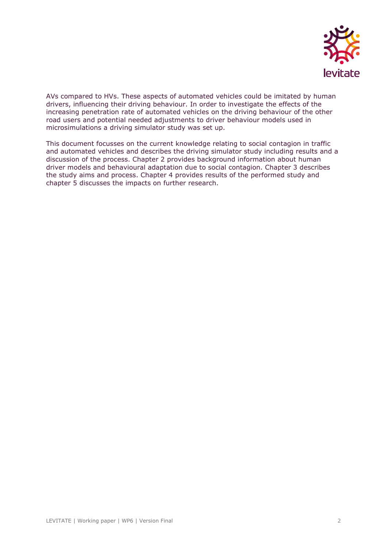

AVs compared to HVs. These aspects of automated vehicles could be imitated by human drivers, influencing their driving behaviour. In order to investigate the effects of the increasing penetration rate of automated vehicles on the driving behaviour of the other road users and potential needed adjustments to driver behaviour models used in microsimulations a driving simulator study was set up.

This document focusses on the current knowledge relating to social contagion in traffic and automated vehicles and describes the driving simulator study including results and a discussion of the process. Chapter 2 provides background information about human driver models and behavioural adaptation due to social contagion. Chapter 3 describes the study aims and process. Chapter 4 provides results of the performed study and chapter 5 discusses the impacts on further research.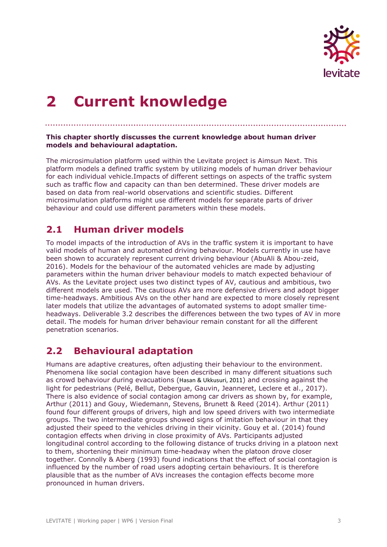

# **2 Current knowledge**

#### **This chapter shortly discusses the current knowledge about human driver models and behavioural adaptation.**

The microsimulation platform used within the Levitate project is Aimsun Next. This platform models a defined traffic system by utilizing models of human driver behaviour for each individual vehicle.Impacts of different settings on aspects of the traffic system such as traffic flow and capacity can than ben determined. These driver models are based on data from real-world observations and scientific studies. Different microsimulation platforms might use different models for separate parts of driver behaviour and could use different parameters within these models.

### **2.1 Human driver models**

To model impacts of the introduction of AVs in the traffic system it is important to have valid models of human and automated driving behaviour. Models currently in use have been shown to accurately represent current driving behaviour (AbuAli & Abou-zeid, 2016). Models for the behaviour of the automated vehicles are made by adjusting parameters within the human driver behaviour models to match expected behaviour of AVs. As the Levitate project uses two distinct types of AV, cautious and ambitious, two different models are used. The cautious AVs are more defensive drivers and adopt bigger time-headways. Ambitious AVs on the other hand are expected to more closely represent later models that utilize the advantages of automated systems to adopt smaller timeheadways. Deliverable 3.2 describes the differences between the two types of AV in more detail. The models for human driver behaviour remain constant for all the different penetration scenarios.

## **2.2 Behavioural adaptation**

Humans are adaptive creatures, often adjusting their behaviour to the environment. Phenomena like social contagion have been described in many different situations such as crowd behaviour during evacuations (Hasan & Ukkusuri, 2011) and crossing against the light for pedestrians (Pelé, Bellut, Debergue, Gauvin, Jeanneret, Leclere et al., 2017). There is also evidence of social contagion among car drivers as shown by, for example, Arthur (2011) and Gouy, Wiedemann, Stevens, Brunett & Reed (2014). Arthur (2011) found four different groups of drivers, high and low speed drivers with two intermediate groups. The two intermediate groups showed signs of imitation behaviour in that they adjusted their speed to the vehicles driving in their vicinity. Gouy et al. (2014) found contagion effects when driving in close proximity of AVs. Participants adjusted longitudinal control according to the following distance of trucks driving in a platoon next to them, shortening their minimum time-headway when the platoon drove closer together. Connolly & Aberg (1993) found indications that the effect of social contagion is influenced by the number of road users adopting certain behaviours. It is therefore plausible that as the number of AVs increases the contagion effects become more pronounced in human drivers.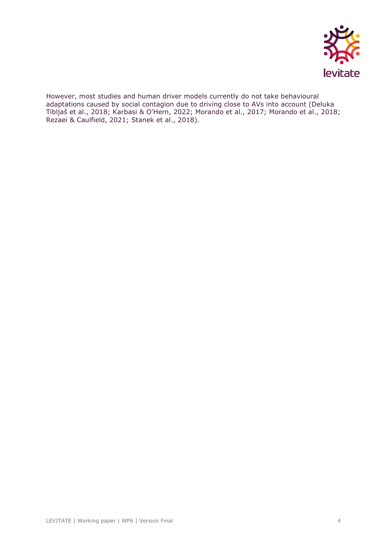

However, most studies and human driver models currently do not take behavioural adaptations caused by social contagion due to driving close to AVs into account (Deluka Tibljaš et al., 2018; Karbasi & O'Hern, 2022; Morando et al., 2017; Morando et al., 2018; Rezaei & Caulfield, 2021; Stanek et al., 2018).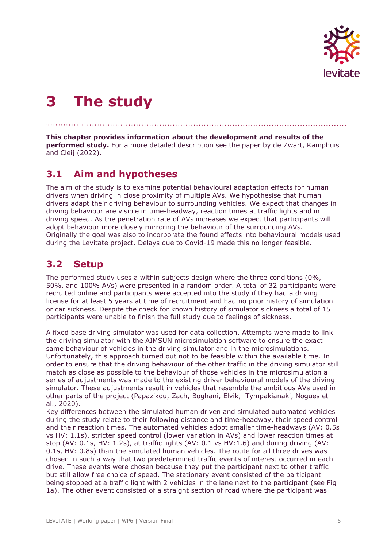

## **3 The study**

**This chapter provides information about the development and results of the performed study.** For a more detailed description see the paper by de Zwart, Kamphuis and Cleij (2022).

## **3.1 Aim and hypotheses**

The aim of the study is to examine potential behavioural adaptation effects for human drivers when driving in close proximity of multiple AVs. We hypothesise that human drivers adapt their driving behaviour to surrounding vehicles. We expect that changes in driving behaviour are visible in time-headway, reaction times at traffic lights and in driving speed. As the penetration rate of AVs increases we expect that participants will adopt behaviour more closely mirroring the behaviour of the surrounding AVs. Originally the goal was also to incorporate the found effects into behavioural models used during the Levitate project. Delays due to Covid-19 made this no longer feasible.

### **3.2 Setup**

The performed study uses a within subjects design where the three conditions (0%, 50%, and 100% AVs) were presented in a random order. A total of 32 participants were recruited online and participants were accepted into the study if they had a driving license for at least 5 years at time of recruitment and had no prior history of simulation or car sickness. Despite the check for known history of simulator sickness a total of 15 participants were unable to finish the full study due to feelings of sickness.

A fixed base driving simulator was used for data collection. Attempts were made to link the driving simulator with the AIMSUN microsimulation software to ensure the exact same behaviour of vehicles in the driving simulator and in the microsimulations. Unfortunately, this approach turned out not to be feasible within the available time. In order to ensure that the driving behaviour of the other traffic in the driving simulator still match as close as possible to the behaviour of those vehicles in the microsimulation a series of adjustments was made to the existing driver behavioural models of the driving simulator. These adjustments result in vehicles that resemble the ambitious AVs used in other parts of the project (Papazikou, Zach, Boghani, Elvik, Tympakianaki, Nogues et al., 2020).

Key differences between the simulated human driven and simulated automated vehicles during the study relate to their following distance and time-headway, their speed control and their reaction times. The automated vehicles adopt smaller time-headways (AV: 0.5s vs HV: 1.1s), stricter speed control (lower variation in AVs) and lower reaction times at stop (AV: 0.1s, HV: 1.2s), at traffic lights (AV: 0.1 vs HV:1.6) and during driving (AV: 0.1s, HV: 0.8s) than the simulated human vehicles. The route for all three drives was chosen in such a way that two predetermined traffic events of interest occurred in each drive. These events were chosen because they put the participant next to other traffic but still allow free choice of speed. The stationary event consisted of the participant being stopped at a traffic light with 2 vehicles in the lane next to the participant (see Fig 1a). The other event consisted of a straight section of road where the participant was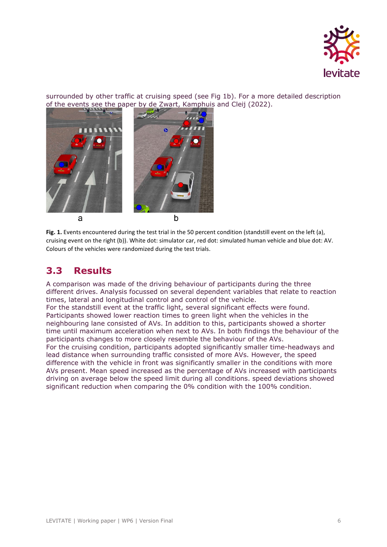

surrounded by other traffic at cruising speed (see Fig 1b). For a more detailed description of the events see the paper by de Zwart, Kamphuis and Cleij (2022).



**Fig. 1.** Events encountered during the test trial in the 50 percent condition (standstill event on the left (a), cruising event on the right (b)). White dot: simulator car, red dot: simulated human vehicle and blue dot: AV. Colours of the vehicles were randomized during the test trials.

## **3.3 Results**

A comparison was made of the driving behaviour of participants during the three different drives. Analysis focussed on several dependent variables that relate to reaction times, lateral and longitudinal control and control of the vehicle.

For the standstill event at the traffic light, several significant effects were found. Participants showed lower reaction times to green light when the vehicles in the neighbouring lane consisted of AVs. In addition to this, participants showed a shorter time until maximum acceleration when next to AVs. In both findings the behaviour of the participants changes to more closely resemble the behaviour of the AVs.

For the cruising condition, participants adopted significantly smaller time-headways and lead distance when surrounding traffic consisted of more AVs. However, the speed difference with the vehicle in front was significantly smaller in the conditions with more AVs present. Mean speed increased as the percentage of AVs increased with participants driving on average below the speed limit during all conditions. speed deviations showed significant reduction when comparing the 0% condition with the 100% condition.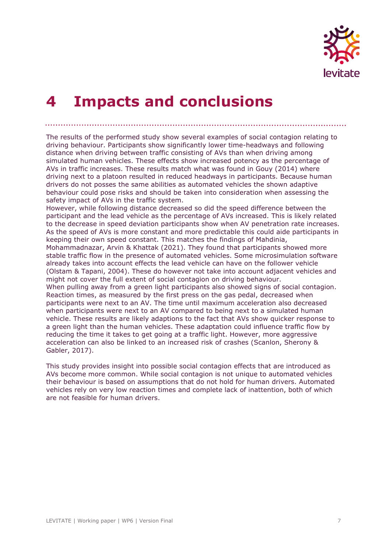

## **4 Impacts and conclusions**

The results of the performed study show several examples of social contagion relating to driving behaviour. Participants show significantly lower time-headways and following distance when driving between traffic consisting of AVs than when driving among simulated human vehicles. These effects show increased potency as the percentage of AVs in traffic increases. These results match what was found in Gouy (2014) where driving next to a platoon resulted in reduced headways in participants. Because human drivers do not posses the same abilities as automated vehicles the shown adaptive behaviour could pose risks and should be taken into consideration when assessing the safety impact of AVs in the traffic system.

However, while following distance decreased so did the speed difference between the participant and the lead vehicle as the percentage of AVs increased. This is likely related to the decrease in speed deviation participants show when AV penetration rate increases. As the speed of AVs is more constant and more predictable this could aide participants in keeping their own speed constant. This matches the findings of Mahdinia,

Mohammadnazar, Arvin & Khattak (2021). They found that participants showed more stable traffic flow in the presence of automated vehicles. Some microsimulation software already takes into account effects the lead vehicle can have on the follower vehicle (Olstam & Tapani, 2004). These do however not take into account adjacent vehicles and might not cover the full extent of social contagion on driving behaviour.

When pulling away from a green light participants also showed signs of social contagion. Reaction times, as measured by the first press on the gas pedal, decreased when participants were next to an AV. The time until maximum acceleration also decreased when participants were next to an AV compared to being next to a simulated human vehicle. These results are likely adaptions to the fact that AVs show quicker response to a green light than the human vehicles. These adaptation could influence traffic flow by reducing the time it takes to get going at a traffic light. However, more aggressive acceleration can also be linked to an increased risk of crashes (Scanlon, Sherony & Gabler, 2017).

This study provides insight into possible social contagion effects that are introduced as AVs become more common. While social contagion is not unique to automated vehicles their behaviour is based on assumptions that do not hold for human drivers. Automated vehicles rely on very low reaction times and complete lack of inattention, both of which are not feasible for human drivers.